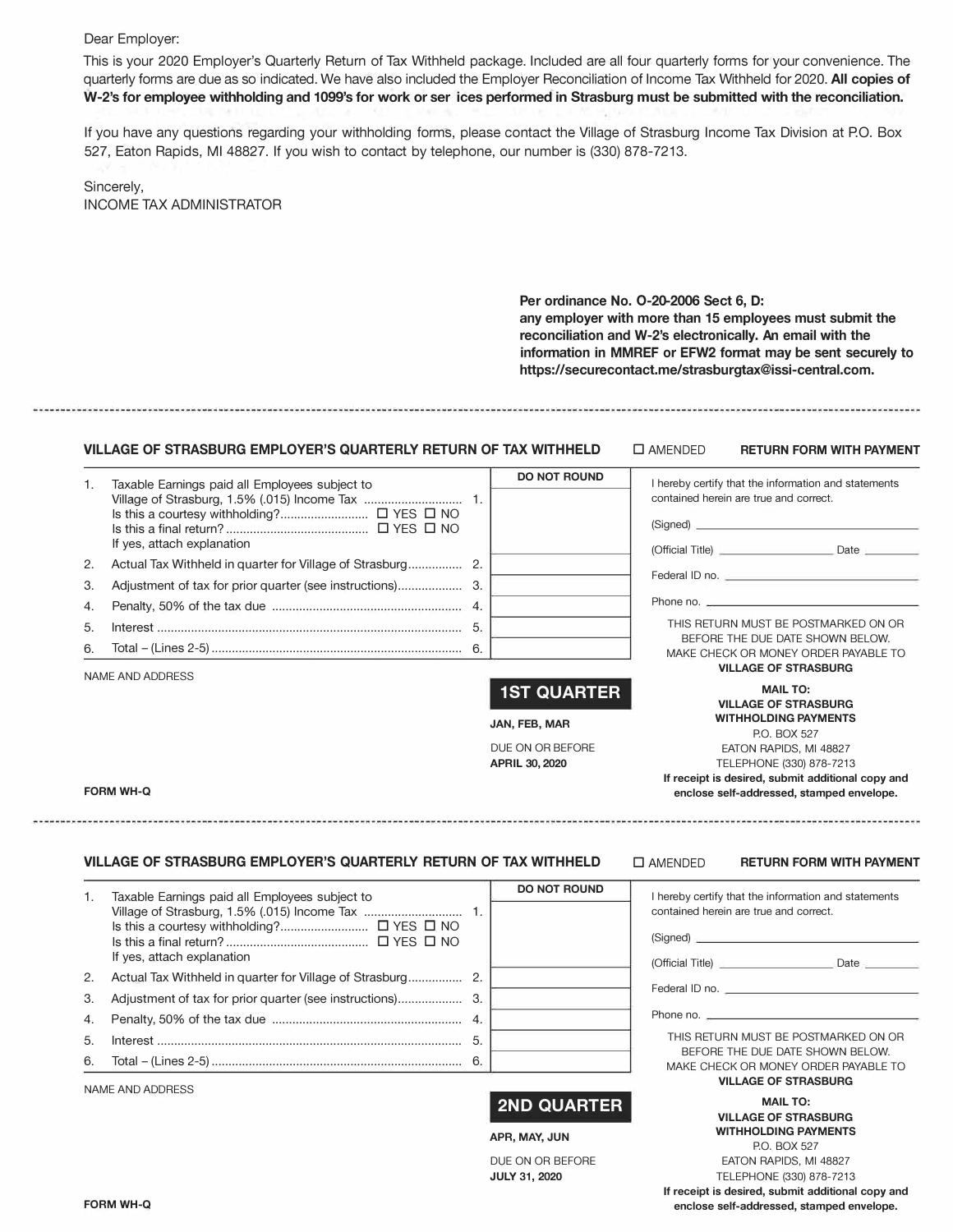## Dear Employer:

This is your 2020 Employer's Quarterly Return of Tax Withheld package. Included are all four quarterly forms for your convenience. The quarterly forms are due as so indicated. We have also included the Employer Reconciliation of Income Tax Withheld for 2020. **All copies of W-2's for employee withholding and 1099's for work or ser ices performed in Strasburg must be submitted with the reconciliation.**

If you have any questions regarding your withholding forms, please contact the Village of Strasburg Income Tax Division at PO. Box 527, Eaton Rapids, Ml 48827. If you wish to contact by telephone, our number is (330) 878-7213.

Sincerely, INCOME TAX ADMINISTRATOR

> **Per ordinance No. 0-20-2006 Sect 6, D: any employer with more than 15 employees must submit the reconciliation and W-2's electronically. An email with the information in MMREF or EFW2 format may be sent securely to https://securecontact.me/strasburgtax@issi-central.com.**

## **VILLAGE OF STRASBURG EMPLOYER'S QUARTERLY RETURN OF TAX WITHHELD** □ AMENDED **RETURN FORM WITH PAYMENT**

| 1. | Taxable Earnings paid all Employees subject to |     | <b>DO NOT ROUND</b> | I hereby certify that the information and statements                     |
|----|------------------------------------------------|-----|---------------------|--------------------------------------------------------------------------|
|    |                                                |     |                     | contained herein are true and correct.                                   |
|    | If yes, attach explanation                     |     |                     | (Signed)                                                                 |
| 2. |                                                |     |                     |                                                                          |
| 3. |                                                |     |                     | Federal ID no.                                                           |
|    |                                                |     |                     |                                                                          |
| 4. |                                                |     |                     | Phone no.                                                                |
| 5. |                                                | -5. |                     | THIS RETURN MUST BE POSTMARKED ON OR                                     |
| 6. |                                                |     |                     | BEFORE THE DUE DATE SHOWN BELOW.<br>MAKE CHECK OR MONEY ORDER PAYABLE TO |
|    |                                                |     |                     | <b>VILLAGE OF STRASBURG</b>                                              |
|    | NAME AND ADDRESS                               |     | <b>1ST QUARTER</b>  | <b>MAIL TO:</b>                                                          |
|    |                                                |     |                     | <b>VILLAGE OF STRASBURG</b>                                              |
|    |                                                |     | JAN, FEB, MAR       | <b>WITHHOLDING PAYMENTS</b><br>P.O. BOX 527                              |

DUE ON OR BEFORE **APRIL 30, 2020**

#### **FORM WH-Q**

### **VILLAGE OF STRASBURG EMPLOYER'S QUARTERLY RETURN OF TAX WITHHELD**

□ AMENDED **RETURN FORM WITH PAYME** 

|  |  | <b>KEIUKN FORM WITH PAYMENT</b> |  |
|--|--|---------------------------------|--|
|  |  |                                 |  |

EATON RAPIDS, Ml 48827 TELEPHONE (330) 878-7213 **If receipt is desired, submit additional copy and enclose self-addressed, stamped envelope.** 

| contained herein are true and correct.<br>(Signed)<br>If yes, attach explanation<br>2.<br>$\mathcal{R}$<br>Phone no.<br>4.<br>5.<br>BEFORE THE DUE DATE SHOWN BELOW.<br><b>VILLAGE OF STRASBURG</b><br>NAME AND ADDRESS | 1. | Taxable Earnings paid all Employees subject to | <b>DO NOT ROUND</b> | I hereby certify that the information and statements |
|-------------------------------------------------------------------------------------------------------------------------------------------------------------------------------------------------------------------------|----|------------------------------------------------|---------------------|------------------------------------------------------|
|                                                                                                                                                                                                                         |    |                                                |                     |                                                      |
|                                                                                                                                                                                                                         |    |                                                |                     |                                                      |
|                                                                                                                                                                                                                         |    |                                                |                     |                                                      |
|                                                                                                                                                                                                                         |    |                                                |                     |                                                      |
|                                                                                                                                                                                                                         |    |                                                |                     |                                                      |
|                                                                                                                                                                                                                         |    |                                                |                     |                                                      |
|                                                                                                                                                                                                                         |    |                                                |                     | THIS RETURN MUST BE POSTMARKED ON OR                 |
|                                                                                                                                                                                                                         |    |                                                |                     | MAKE CHECK OR MONEY ORDER PAYABLE TO                 |
|                                                                                                                                                                                                                         |    |                                                |                     |                                                      |

# **2ND QUARTER**

**APR, MAY, JUN** 

DUE ON OR BEFORE **JULY 31, 2020**

**MAIL TO: VILLAGE OF STRASBURG WITHHOLDING PAYMENTS**  P.O. BOX 527 EATON RAPIDS, Ml 48827 TELEPHONE (330) 878-7213 **If receipt is desired, submit additional copy and enclose self-addressed, stamped envelope.**